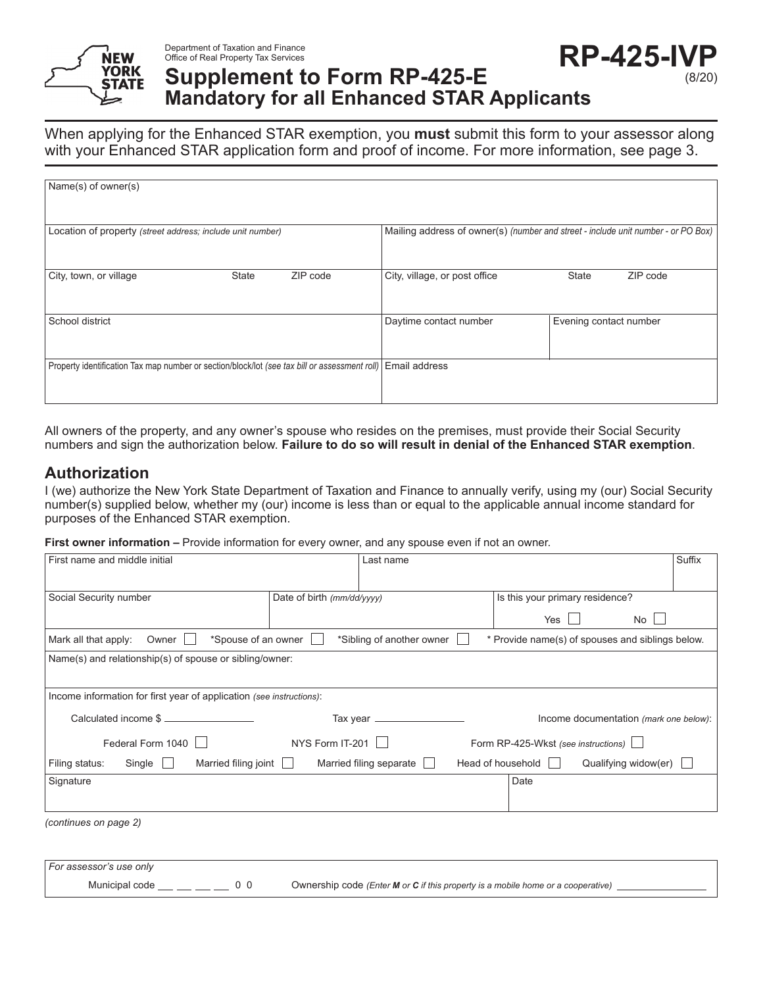

#### Department of Taxation and Finance Office of Real Property Tax Services

# **Supplement to Form RP-425-E Mandatory for all Enhanced STAR Applicants**

When applying for the Enhanced STAR exemption, you **must** submit this form to your assessor along with your Enhanced STAR application form and proof of income. For more information, see page 3.

| Name(s) of owner(s)                                                                           |              |                                                                                   |                               |                        |          |
|-----------------------------------------------------------------------------------------------|--------------|-----------------------------------------------------------------------------------|-------------------------------|------------------------|----------|
|                                                                                               |              |                                                                                   |                               |                        |          |
| Location of property (street address; include unit number)                                    |              | Mailing address of owner(s) (number and street - include unit number - or PO Box) |                               |                        |          |
|                                                                                               |              |                                                                                   |                               |                        |          |
| City, town, or village                                                                        | <b>State</b> | ZIP code                                                                          | City, village, or post office | <b>State</b>           | ZIP code |
|                                                                                               |              |                                                                                   |                               |                        |          |
| School district                                                                               |              |                                                                                   | Daytime contact number        | Evening contact number |          |
|                                                                                               |              |                                                                                   |                               |                        |          |
| Property identification Tax map number or section/block/lot (see tax bill or assessment roll) |              | Email address                                                                     |                               |                        |          |
|                                                                                               |              |                                                                                   |                               |                        |          |

All owners of the property, and any owner's spouse who resides on the premises, must provide their Social Security numbers and sign the authorization below. **Failure to do so will result in denial of the Enhanced STAR exemption**.

## **Authorization**

I (we) authorize the New York State Department of Taxation and Finance to annually verify, using my (our) Social Security number(s) supplied below, whether my (our) income is less than or equal to the applicable annual income standard for purposes of the Enhanced STAR exemption.

**First owner information –** Provide information for every owner, and any spouse even if not an owner.

| First name and middle initial                                                                                                         |                            | Last name      |                                               | Suffix |
|---------------------------------------------------------------------------------------------------------------------------------------|----------------------------|----------------|-----------------------------------------------|--------|
|                                                                                                                                       |                            |                |                                               |        |
| Social Security number                                                                                                                | Date of birth (mm/dd/yyyy) |                | Is this your primary residence?               |        |
|                                                                                                                                       |                            |                | Yes<br>No.                                    |        |
| *Spouse of an owner<br>*Sibling of another owner<br>* Provide name(s) of spouses and siblings below.<br>Mark all that apply:<br>Owner |                            |                |                                               |        |
| Name(s) and relationship(s) of spouse or sibling/owner:                                                                               |                            |                |                                               |        |
|                                                                                                                                       |                            |                |                                               |        |
| Income information for first year of application (see instructions):                                                                  |                            |                |                                               |        |
| Calculated income \$                                                                                                                  |                            |                | Income documentation (mark one below):        |        |
| Federal Form 1040                                                                                                                     | NYS Form IT-201            |                | Form RP-425-Wkst (see instructions)           |        |
| Married filing joint $\Box$<br>Filing status:<br>Single $\Box$                                                                        | Married filing separate    | $\blacksquare$ | Head of household    <br>Qualifying widow(er) |        |
| Signature                                                                                                                             |                            |                | Date                                          |        |
|                                                                                                                                       |                            |                |                                               |        |
| (continues on page 2)                                                                                                                 |                            |                |                                               |        |
|                                                                                                                                       |                            |                |                                               |        |

*For assessor's use only* Municipal code  $\underline{\hspace{1cm}}\underline{\hspace{1cm}}\underline{\hspace{1cm}}\underline{\hspace{1cm}}\underline{\hspace{1cm}}\underline{\hspace{1cm}}\underline{\hspace{1cm}}\underline{\hspace{1cm}}\underline{\hspace{1cm}}\underline{\hspace{1cm}}\underline{\hspace{1cm}}\underline{\hspace{1cm}}\underline{\hspace{1cm}}\underline{\hspace{1cm}}\underline{\hspace{1cm}}\underline{\hspace{1cm}}\underline{\hspace{1cm}}\underline{\hspace{1cm}}\underline{\hspace{1cm}}\underline{\hspace{1cm}}\underline{\hspace{1cm}}\underline{\hspace{1cm}}\underline{\hspace{1$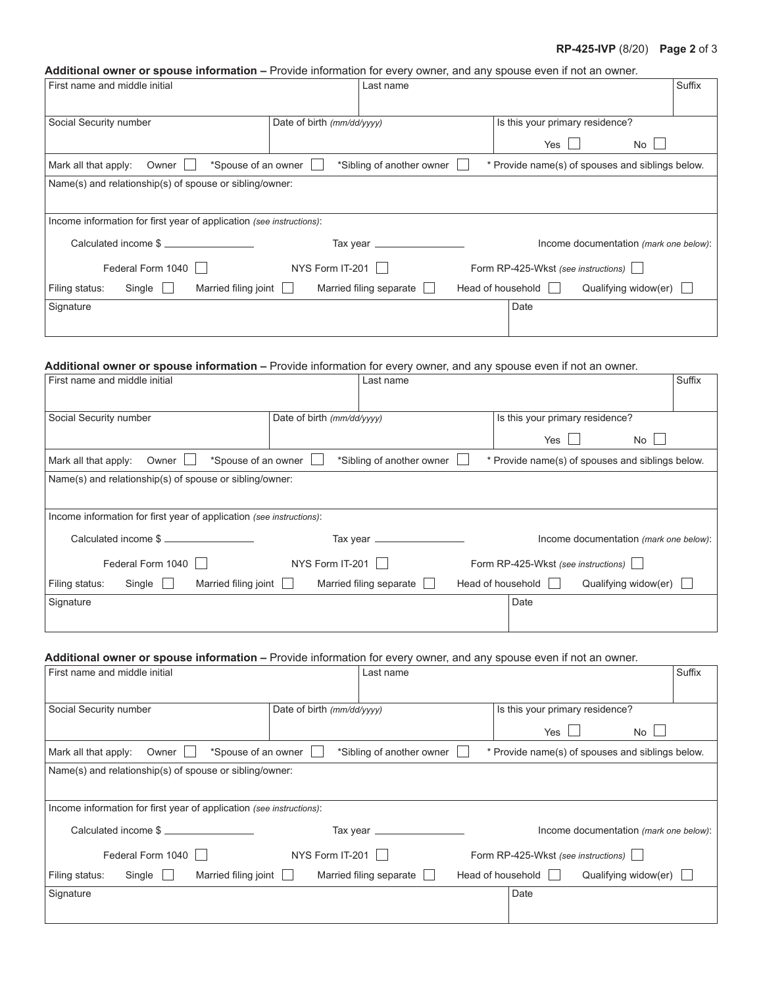#### **RP-425-IVP Page 2** of 3

#### **Additional owner or spouse information –** Provide information for every owner, and any spouse even if not an owner.

| First name and middle initial                                        | Last name                  |                                                  | Suffix |
|----------------------------------------------------------------------|----------------------------|--------------------------------------------------|--------|
|                                                                      |                            |                                                  |        |
| Social Security number                                               | Date of birth (mm/dd/yyyy) | Is this your primary residence?                  |        |
|                                                                      |                            | Yes<br>No I                                      |        |
| *Spouse of an owner<br>Mark all that apply:<br>Owner                 | *Sibling of another owner  | * Provide name(s) of spouses and siblings below. |        |
| Name(s) and relationship(s) of spouse or sibling/owner:              |                            |                                                  |        |
|                                                                      |                            |                                                  |        |
| Income information for first year of application (see instructions): |                            |                                                  |        |
| Calculated income \$                                                 | Tax year $\equiv$          | Income documentation (mark one below):           |        |
| Federal Form 1040                                                    | NYS Form IT-201            | Form RP-425-Wkst (see instructions)              |        |
| Married filing joint<br>Filing status:<br>$Single \Box$              | Married filing separate    | Head of household    <br>Qualifying widow(er)    |        |
| Signature                                                            |                            | Date                                             |        |
|                                                                      |                            |                                                  |        |

#### **Additional owner or spouse information –** Provide information for every owner, and any spouse even if not an owner.

| First name and middle initial                                                                                                           | Last name                               |                                     |                                        | Suffix |
|-----------------------------------------------------------------------------------------------------------------------------------------|-----------------------------------------|-------------------------------------|----------------------------------------|--------|
|                                                                                                                                         |                                         |                                     |                                        |        |
| Social Security number                                                                                                                  | Date of birth (mm/dd/yyyy)              | Is this your primary residence?     |                                        |        |
|                                                                                                                                         |                                         | Yes                                 | No l                                   |        |
| *Spouse of an owner<br>*Sibling of another owner<br>* Provide name(s) of spouses and siblings below.<br>Owner  <br>Mark all that apply: |                                         |                                     |                                        |        |
| Name(s) and relationship(s) of spouse or sibling/owner:                                                                                 |                                         |                                     |                                        |        |
|                                                                                                                                         |                                         |                                     |                                        |        |
| Income information for first year of application (see instructions):                                                                    |                                         |                                     |                                        |        |
| Calculated income \$                                                                                                                    | Tax year $\_\_\_\_\_\_\_\_\_\_\_\_\_\_$ |                                     | Income documentation (mark one below): |        |
| Federal Form 1040                                                                                                                       | NYS Form IT-201                         | Form RP-425-Wkst (see instructions) |                                        |        |
| Married filing joint<br>Filing status:<br>Single                                                                                        | Married filing separate                 | Head of household                   | Qualifying widow(er)                   |        |
| Signature                                                                                                                               |                                         | Date                                |                                        |        |
|                                                                                                                                         |                                         |                                     |                                        |        |

#### **Additional owner or spouse information –** Provide information for every owner, and any spouse even if not an owner.

| First name and middle initial                                        | Last name                  |                                                  | Suffix |  |
|----------------------------------------------------------------------|----------------------------|--------------------------------------------------|--------|--|
|                                                                      |                            |                                                  |        |  |
| Social Security number                                               | Date of birth (mm/dd/yyyy) | Is this your primary residence?                  |        |  |
|                                                                      |                            | Yes<br>No                                        |        |  |
| *Spouse of an owner<br>Mark all that apply:<br>Owner                 | *Sibling of another owner  | * Provide name(s) of spouses and siblings below. |        |  |
| Name(s) and relationship(s) of spouse or sibling/owner:              |                            |                                                  |        |  |
|                                                                      |                            |                                                  |        |  |
| Income information for first year of application (see instructions): |                            |                                                  |        |  |
| Calculated income \$                                                 | Tax year _____________     | Income documentation (mark one below):           |        |  |
| Federal Form 1040                                                    | NYS Form IT-201            | Form RP-425-Wkst (see instructions)              |        |  |
| Married filing joint<br>Filing status:<br>$Single$                   | Married filing separate    | Head of household  <br>Qualifying widow(er)      |        |  |
| Signature                                                            |                            | Date                                             |        |  |
|                                                                      |                            |                                                  |        |  |